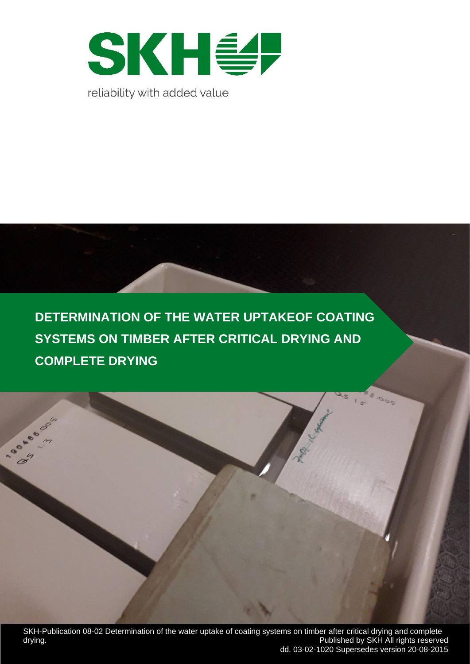

**DETERMINATION OF THE WATER UPTAKEOF COATING SYSTEMS ON TIMBER AFTER CRITICAL DRYING AND COMPLETE DRYING**

SKH-Publication 08-02 Determination of the water uptake of coating systems on timber after critical drying and complete drying. Published by SKH All rights reserved dd. 03-02-1020 Supersedes version 20-08-2015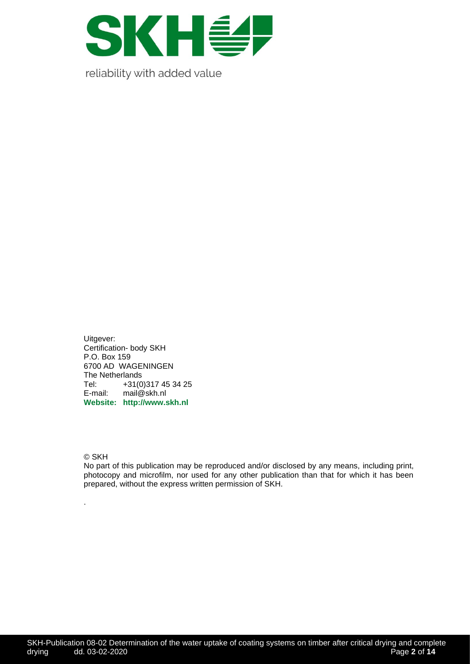

Uitgever: Certification- body SKH P.O. Box 159 6700 AD WAGENINGEN The Netherlands Tel: +31(0)317 45 34 25<br>E-mail: mail@skh.nl mail@skh.nl **Website: http://www.skh.nl**

© SKH

.

No part of this publication may be reproduced and/or disclosed by any means, including print, photocopy and microfilm, nor used for any other publication than that for which it has been prepared, without the express written permission of SKH.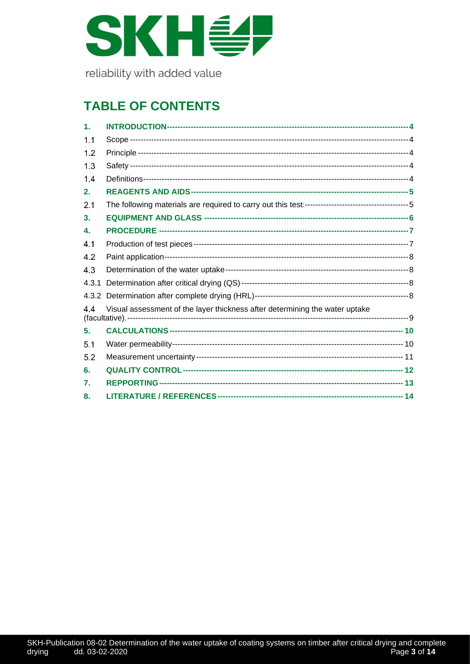

# **TABLE OF CONTENTS**

| $\mathbf 1$ . |                                                                             |  |
|---------------|-----------------------------------------------------------------------------|--|
| 1.1           |                                                                             |  |
| 1.2           |                                                                             |  |
| 1.3           |                                                                             |  |
| 1.4           |                                                                             |  |
| 2.            |                                                                             |  |
| 2.1           |                                                                             |  |
| 3.            |                                                                             |  |
| 4.            |                                                                             |  |
| 4.1           |                                                                             |  |
| 4.2           |                                                                             |  |
| 4.3           |                                                                             |  |
| 4.3.1         |                                                                             |  |
|               |                                                                             |  |
| 4.4           | Visual assessment of the layer thickness after determining the water uptake |  |
| 5.            |                                                                             |  |
| 5.1           |                                                                             |  |
| 5.2           |                                                                             |  |
| 6.            |                                                                             |  |
| 7.            |                                                                             |  |
| 8.            |                                                                             |  |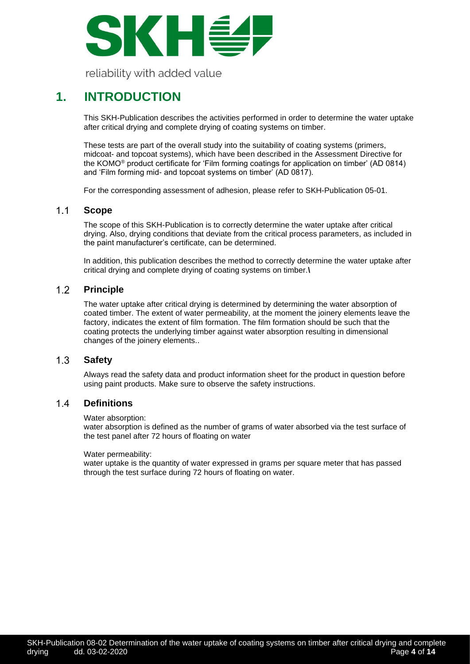

### <span id="page-3-0"></span>**1. INTRODUCTION**

This SKH-Publication describes the activities performed in order to determine the water uptake after critical drying and complete drying of coating systems on timber.

These tests are part of the overall study into the suitability of coating systems (primers, midcoat- and topcoat systems), which have been described in the Assessment Directive for the KOMO® product certificate for 'Film forming coatings for application on timber' (AD 0814) and 'Film forming mid- and topcoat systems on timber' (AD 0817).

For the corresponding assessment of adhesion, please refer to SKH-Publication 05-01.

#### <span id="page-3-1"></span> $1.1$ **Scope**

The scope of this SKH-Publication is to correctly determine the water uptake after critical drying. Also, drying conditions that deviate from the critical process parameters, as included in the paint manufacturer's certificate, can be determined.

In addition, this publication describes the method to correctly determine the water uptake after critical drying and complete drying of coating systems on timber.**\**

#### <span id="page-3-2"></span> $1.2<sub>2</sub>$ **Principle**

The water uptake after critical drying is determined by determining the water absorption of coated timber. The extent of water permeability, at the moment the joinery elements leave the factory, indicates the extent of film formation. The film formation should be such that the coating protects the underlying timber against water absorption resulting in dimensional changes of the joinery elements..

#### <span id="page-3-3"></span> $1.3$ **Safety**

Always read the safety data and product information sheet for the product in question before using paint products. Make sure to observe the safety instructions.

#### <span id="page-3-4"></span> $14$ **Definitions**

### Water absorption:

water absorption is defined as the number of grams of water absorbed via the test surface of the test panel after 72 hours of floating on water

### Water permeability:

water uptake is the quantity of water expressed in grams per square meter that has passed through the test surface during 72 hours of floating on water.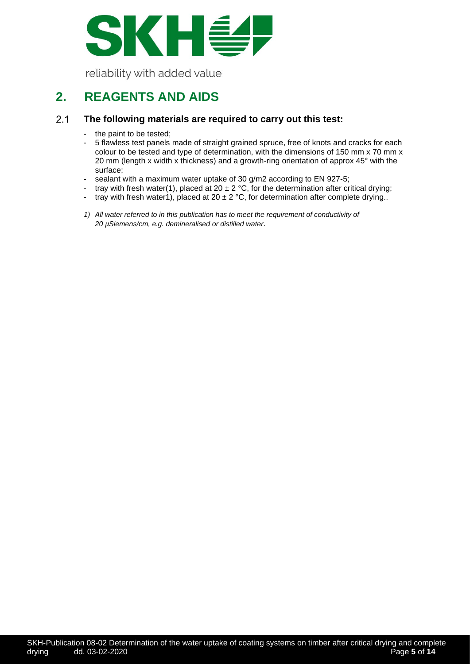

## <span id="page-4-0"></span>**2. REAGENTS AND AIDS**

#### <span id="page-4-1"></span> $2.1$ **The following materials are required to carry out this test:**

- the paint to be tested;
- 5 flawless test panels made of straight grained spruce, free of knots and cracks for each colour to be tested and type of determination, with the dimensions of 150 mm x 70 mm x 20 mm (length x width x thickness) and a growth-ring orientation of approx 45° with the surface;
- sealant with a maximum water uptake of 30 g/m2 according to EN 927-5;
- tray with fresh water(1), placed at 20  $\pm$  2 °C, for the determination after critical drying;
- tray with fresh water1), placed at 20  $\pm$  2 °C, for determination after complete drying..
- *1) All water referred to in this publication has to meet the requirement of conductivity of 20 µSiemens/cm, e.g. demineralised or distilled water.*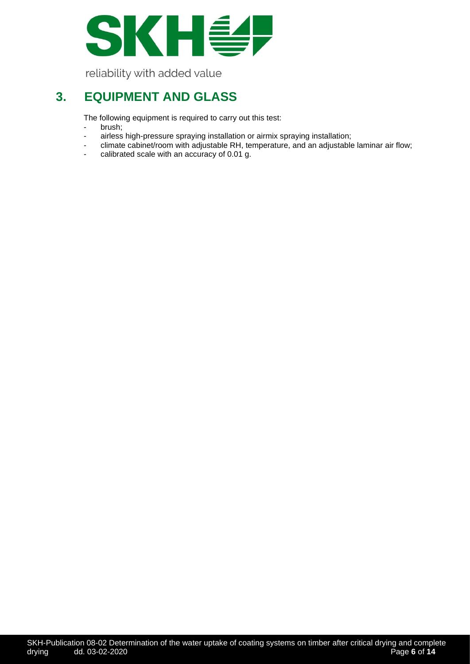

### <span id="page-5-0"></span>**3. EQUIPMENT AND GLASS**

The following equipment is required to carry out this test:

- brush;
- airless high-pressure spraying installation or airmix spraying installation;<br>climate cabinet/room with adjustable RH temperature and an adjustable
- climate cabinet/room with adjustable RH, temperature, and an adjustable laminar air flow;
- calibrated scale with an accuracy of 0.01 g.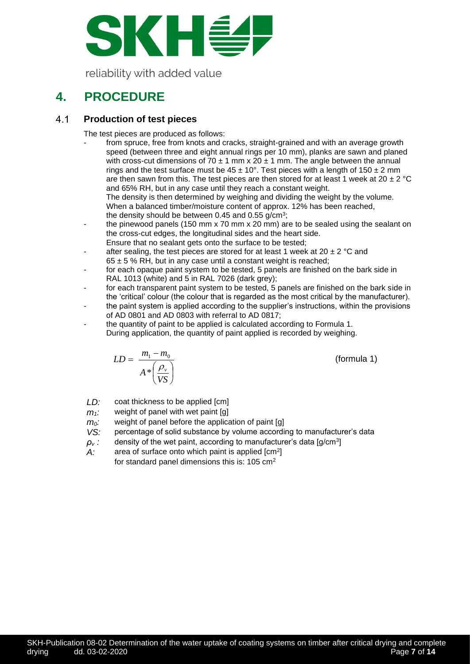

# <span id="page-6-0"></span>**4. PROCEDURE**

#### <span id="page-6-1"></span> $4.1$ **Production of test pieces**

The test pieces are produced as follows:

- from spruce, free from knots and cracks, straight-grained and with an average growth speed (between three and eight annual rings per 10 mm), planks are sawn and planed with cross-cut dimensions of 70  $\pm$  1 mm x 20  $\pm$  1 mm. The angle between the annual rings and the test surface must be  $45 \pm 10^{\circ}$ . Test pieces with a length of 150  $\pm$  2 mm are then sawn from this. The test pieces are then stored for at least 1 week at 20  $\pm$  2 °C and 65% RH, but in any case until they reach a constant weight. The density is then determined by weighing and dividing the weight by the volume. When a balanced timber/moisture content of approx. 12% has been reached, the density should be between 0.45 and 0.55 g/cm<sup>3</sup>;
- the pinewood panels (150 mm x 70 mm x 20 mm) are to be sealed using the sealant on the cross-cut edges, the longitudinal sides and the heart side. Ensure that no sealant gets onto the surface to be tested;
- after sealing, the test pieces are stored for at least 1 week at 20  $\pm$  2 °C and  $65 \pm 5$  % RH, but in any case until a constant weight is reached;
- for each opaque paint system to be tested, 5 panels are finished on the bark side in RAL 1013 (white) and 5 in RAL 7026 (dark grey);
- for each transparent paint system to be tested, 5 panels are finished on the bark side in the 'critical' colour (the colour that is regarded as the most critical by the manufacturer).
- the paint system is applied according to the supplier's instructions, within the provisions of AD 0801 and AD 0803 with referral to AD 0817;
- the quantity of paint to be applied is calculated according to Formula 1. During application, the quantity of paint applied is recorded by weighing.

$$
LD = \frac{m_1 - m_0}{A \sqrt[*]{\frac{\rho_v}{VS}}}
$$

(formula 1)

- *LD:* coat thickness to be applied [cm]
- $m<sub>1</sub>$ : weight of panel with wet paint [g]
- *m*<sup>2</sup>*m*<sup>2</sup>*m*<sup>2</sup>*m*<sup>2</sup>*m*<sup>2</sup>*m*<sup>2</sup>*m*<sup>2</sup>*m*<sup>2</sup>*m*<sup>2</sup>*m*<sup>2</sup>*m*<sup>2</sup>*m*<sup>2</sup>*m*<sup>2</sup>*m*<sup>2</sup>*m*<sup>2</sup>*m*<sup>2</sup>*m*<sup>2</sup>*m*<sup>2</sup>*m*<sup>2</sup>*m*<sup>2</sup>*m*<sup>2</sup>*m*<sup>2</sup>*m*<sup>2</sup>*m*<sup>2</sup>*m*<sup>2</sup>*m*<sup>2</sup>*m*<sup>2</sup>*m*<sup>2</sup>*m*<sup>2</sup>*m*<sup>2</sup>*m*<sup>2</sup>*m*<sup>2</sup>*m*<sup>2</sup>*m*<sup>2</sup>*m*<sup>2</sup>*m*<sup>2</sup>*m*<sup>2</sup>
- *VS:* percentage of solid substance by volume according to manufacturer's data
- $\rho_{\rm\scriptscriptstyle V}$   $:$   $\;$  density of the wet paint, according to manufacturer's data [g/cm $^{\rm 3}$ ]
- A: area of surface onto which paint is applied [cm<sup>2</sup>] for standard panel dimensions this is: 105 cm2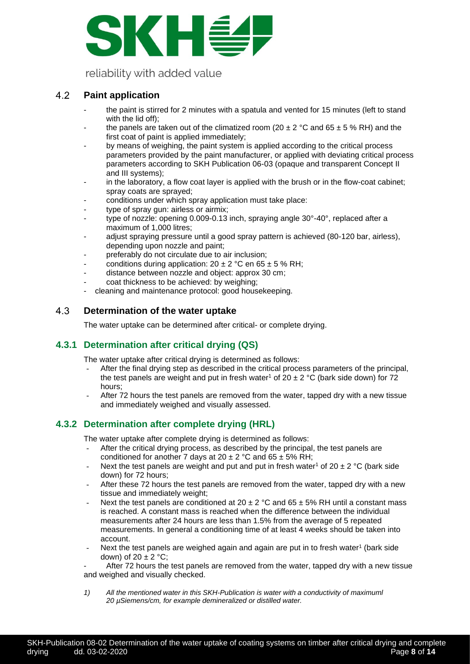

#### <span id="page-7-0"></span>4.2 **Paint application**

- the paint is stirred for 2 minutes with a spatula and vented for 15 minutes (left to stand with the lid off);
- the panels are taken out of the climatized room (20  $\pm$  2 °C and 65  $\pm$  5 % RH) and the first coat of paint is applied immediately;
- by means of weighing, the paint system is applied according to the critical process parameters provided by the paint manufacturer, or applied with deviating critical process parameters according to SKH Publication 06-03 (opaque and transparent Concept II and III systems);
- in the laboratory, a flow coat layer is applied with the brush or in the flow-coat cabinet; spray coats are sprayed;
- conditions under which spray application must take place:
- type of spray gun: airless or airmix;
- type of nozzle: opening 0.009-0.13 inch, spraying angle 30°-40°, replaced after a maximum of 1,000 litres;
- adjust spraying pressure until a good spray pattern is achieved (80-120 bar, airless), depending upon nozzle and paint;
- preferably do not circulate due to air inclusion;
- conditions during application:  $20 \pm 2$  °C en 65  $\pm$  5 % RH;
- distance between nozzle and object: approx 30 cm;
- coat thickness to be achieved: by weighing;
- cleaning and maintenance protocol: good housekeeping.

#### <span id="page-7-1"></span>4.3 **Determination of the water uptake**

The water uptake can be determined after critical- or complete drying.

### <span id="page-7-2"></span>**4.3.1 Determination after critical drying (QS)**

The water uptake after critical drying is determined as follows:

- After the final drying step as described in the critical process parameters of the principal, the test panels are weight and put in fresh water<sup>1</sup> of 20  $\pm$  2 °C (bark side down) for 72 hours;
- After 72 hours the test panels are removed from the water, tapped dry with a new tissue and immediately weighed and visually assessed.

### <span id="page-7-3"></span>**4.3.2 Determination after complete drying (HRL)**

The water uptake after complete drying is determined as follows:

- After the critical drying process, as described by the principal, the test panels are conditioned for another 7 days at  $20 \pm 2$  °C and  $65 \pm 5$ % RH;
- Next the test panels are weight and put and put in fresh water<sup>1</sup> of 20  $\pm$  2 °C (bark side down) for 72 hours;
- After these 72 hours the test panels are removed from the water, tapped dry with a new tissue and immediately weight;
- Next the test panels are conditioned at 20  $\pm$  2 °C and 65  $\pm$  5% RH until a constant mass is reached. A constant mass is reached when the difference between the individual measurements after 24 hours are less than 1.5% from the average of 5 repeated measurements. In general a conditioning time of at least 4 weeks should be taken into account.
- Next the test panels are weighed again and again are put in to fresh water<sup>1</sup> (bark side down) of  $20 \pm 2$  °C;

After 72 hours the test panels are removed from the water, tapped dry with a new tissue and weighed and visually checked.

*1) All the mentioned water in this SKH-Publication is water with a conductivity of maximuml 20 µSiemens/cm, for example demineralized or distilled water.*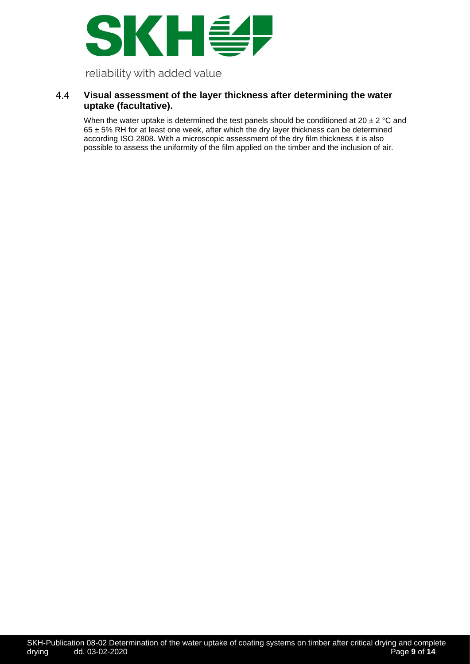

### <span id="page-8-0"></span>4.4 **Visual assessment of the layer thickness after determining the water uptake (facultative).**

When the water uptake is determined the test panels should be conditioned at 20  $\pm$  2 °C and  $65 \pm 5%$  RH for at least one week, after which the dry layer thickness can be determined according ISO 2808. With a microscopic assessment of the dry film thickness it is also possible to assess the uniformity of the film applied on the timber and the inclusion of air.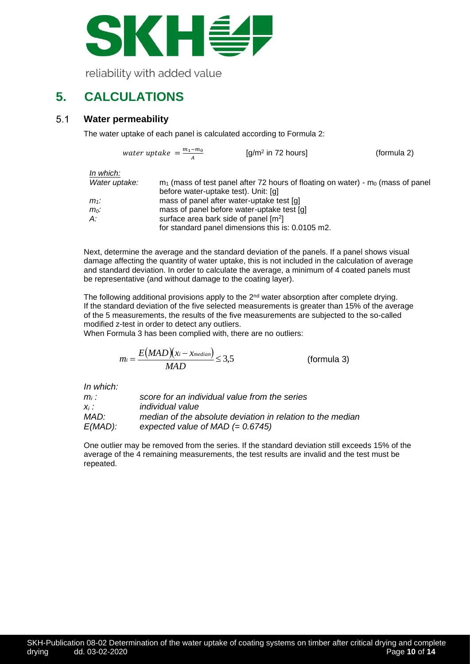

# <span id="page-9-0"></span>**5. CALCULATIONS**

#### <span id="page-9-1"></span> $5.1$ **Water permeability**

The water uptake of each panel is calculated according to Formula 2:

water uptake =  $\frac{m_1 - m_0}{4}$  $\overline{A}$ [g/m<sup>2</sup> in 72 hours] (formula 2)

*In which:*

| Water uptake: | $m_1$ (mass of test panel after 72 hours of floating on water) - $m_0$ (mass of panel |
|---------------|---------------------------------------------------------------------------------------|
|               | before water-uptake test). Unit: [g]                                                  |
| m1:           | mass of panel after water-uptake test [g]                                             |
| $m_0$ :       | mass of panel before water-uptake test [g]                                            |
| A:            | surface area bark side of panel [m <sup>2</sup> ]                                     |
|               | for standard panel dimensions this is: 0.0105 m2.                                     |

Next, determine the average and the standard deviation of the panels. If a panel shows visual damage affecting the quantity of water uptake, this is not included in the calculation of average and standard deviation. In order to calculate the average, a minimum of 4 coated panels must be representative (and without damage to the coating layer).

The following additional provisions apply to the 2<sup>nd</sup> water absorption after complete drying. If the standard deviation of the five selected measurements is greater than 15% of the average of the 5 measurements, the results of the five measurements are subjected to the so-called modified z-test in order to detect any outliers.

When Formula 3 has been complied with, there are no outliers:

$$
m_i = \frac{E(MAD)(x_i - x_{median})}{MAD} \le 3.5
$$
 (formula 3)

*In which:*

| $m_i$ :    | score for an individual value from the series              |
|------------|------------------------------------------------------------|
| $X_i$ :    | <i>individual value</i>                                    |
| MAD:       | median of the absolute deviation in relation to the median |
| $E(MAD)$ : | expected value of MAD $(= 0.6745)$                         |

One outlier may be removed from the series. If the standard deviation still exceeds 15% of the average of the 4 remaining measurements, the test results are invalid and the test must be repeated.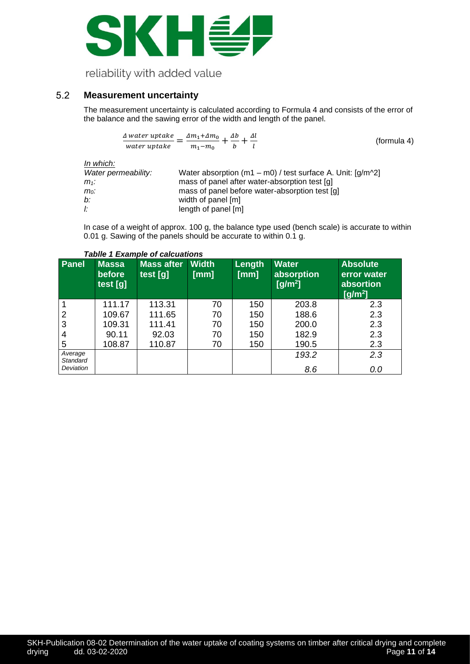

#### <span id="page-10-0"></span> $5.2$ **Measurement uncertainty**

The measurement uncertainty is calculated according to Formula 4 and consists of the error of the balance and the sawing error of the width and length of the panel.

$$
\frac{\Delta \text{ water uptake}}{\text{water uptake}} = \frac{\Delta m_1 + \Delta m_0}{m_1 - m_0} + \frac{\Delta b}{b} + \frac{\Delta l}{l}
$$
 (formula 4)

*In which:*

| Water permeability: | Water absorption (m1 – m0) / test surface A. Unit: $\left[\frac{q}{m^2}\right]$ |
|---------------------|---------------------------------------------------------------------------------|
| m1:                 | mass of panel after water-absorption test [g]                                   |
| $m_0$ :             | mass of panel before water-absorption test [g]                                  |
| b:                  | width of panel [m]                                                              |
| Ŀ                   | length of panel [m]                                                             |

In case of a weight of approx. 100 g, the balance type used (bench scale) is accurate to within 0.01 g. Sawing of the panels should be accurate to within 0.1 g.

| <b>Massa</b><br>before<br>test [g] | <b>Mass after</b><br>test [g] | <b>Width</b><br>[mm] | Length<br>$\lceil$ [mm] | <b>Water</b><br>absorption<br>$[g/m^2]$ | <b>Absolute</b><br>error water<br>absortion<br>$[g/m^2]$ |
|------------------------------------|-------------------------------|----------------------|-------------------------|-----------------------------------------|----------------------------------------------------------|
| 111.17                             | 113.31                        | 70                   | 150                     | 203.8                                   | 2.3                                                      |
| 109.67                             | 111.65                        | 70                   | 150                     | 188.6                                   | 2.3                                                      |
| 109.31                             | 111.41                        | 70                   | 150                     | 200.0                                   | 2.3                                                      |
| 90.11                              | 92.03                         | 70                   | 150                     | 182.9                                   | 2.3                                                      |
| 108.87                             | 110.87                        | 70                   | 150                     | 190.5                                   | 2.3                                                      |
|                                    |                               |                      |                         | 193.2                                   | 2.3<br>0.0                                               |
|                                    |                               |                      |                         |                                         | 8.6                                                      |

### *Tablle 1 Example of calcuations*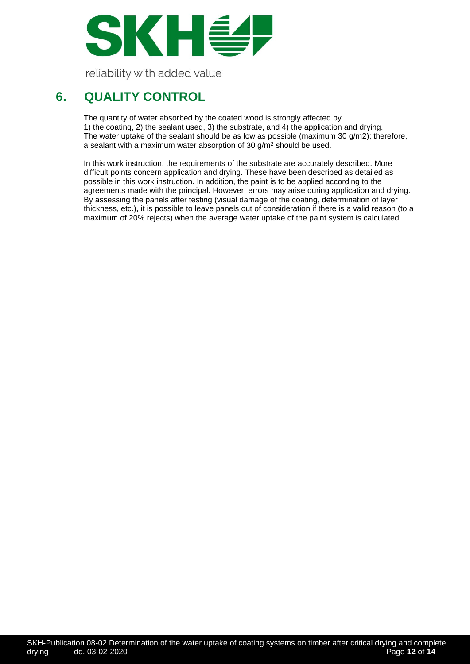

# <span id="page-11-0"></span>**6. QUALITY CONTROL**

The quantity of water absorbed by the coated wood is strongly affected by 1) the coating, 2) the sealant used, 3) the substrate, and 4) the application and drying. The water uptake of the sealant should be as low as possible (maximum 30 g/m2); therefore, a sealant with a maximum water absorption of 30  $g/m^2$  should be used.

In this work instruction, the requirements of the substrate are accurately described. More difficult points concern application and drying. These have been described as detailed as possible in this work instruction. In addition, the paint is to be applied according to the agreements made with the principal. However, errors may arise during application and drying. By assessing the panels after testing (visual damage of the coating, determination of layer thickness, etc.), it is possible to leave panels out of consideration if there is a valid reason (to a maximum of 20% rejects) when the average water uptake of the paint system is calculated.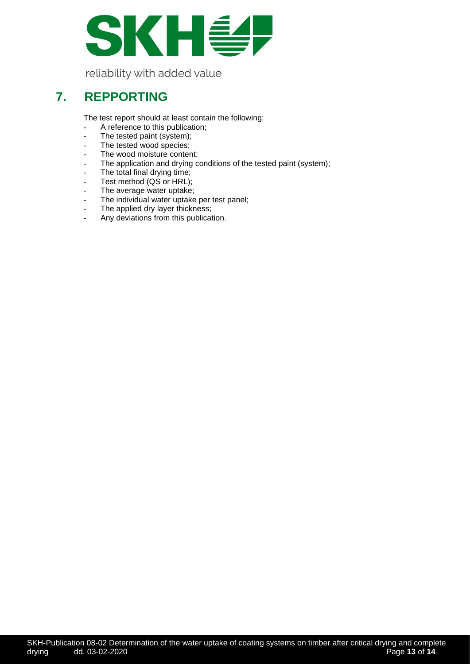

### <span id="page-12-0"></span>**7. REPPORTING**

The test report should at least contain the following:

- A reference to this publication;
- The tested paint (system);
- The tested wood species;
- The wood moisture content;
- The application and drying conditions of the tested paint (system);
- The total final drying time;
- Test method (QS or HRL);
- The average water uptake;
- The individual water uptake per test panel;
- The applied dry layer thickness;
- Any deviations from this publication.